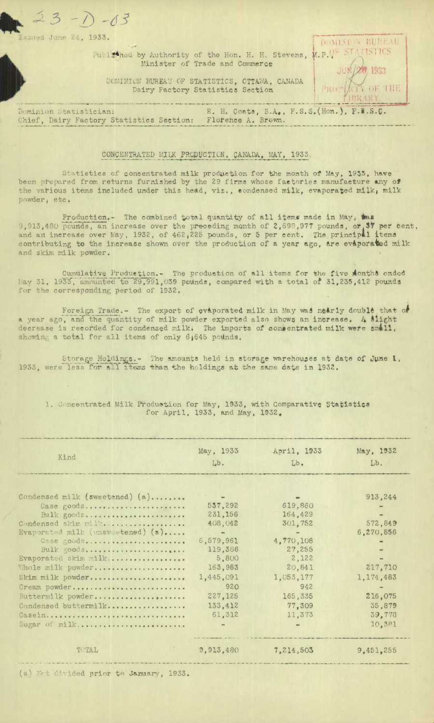ssued June 24, 1933.

 $23 - 1) - 03$ 

Published by Authority of the Hon. H. H. Stevens, M.P. Minister of Trade and Commerce

**DOMESTIN BUREAU** 

26, 1933

OF THE

DOMINION BUREAU OF STATISTICS, OTTAWA, CANADA Dairy Factory Statistics Section

|                                          | <b>The South And Add a Secretary Company of the Company of the Company of the Company of the Company of the Company of the Company of the Company of the Company of the Company of the Company of the Company of the Company of </b> |
|------------------------------------------|--------------------------------------------------------------------------------------------------------------------------------------------------------------------------------------------------------------------------------------|
| Dominion Statistician:                   | R. H. Coats, B.A., F.S.S. (Hon.), F.R.S.C.                                                                                                                                                                                           |
| Chief, Dairy Factory Statistics Section: | Florence A. Brown.                                                                                                                                                                                                                   |

## CONCENTRATED MILK PRODUCTION, CANADA, MAY, 1933.

Statistics of concentrated milk production for the month of May, 1955, have been prepared from returns furnished by the 29 firms whose factories manufacture any of the various items included under this head, viz., condensed milk, evaporated milk, milk powder, etc.

Production.- The combined total quantity of all items made in May, that 9,913,480 pounds, an increase over the preceding month of 2,698,977 pounds, or 37 per cent, and an increase over May, 1932, of 462,225 pounds, or 5 per cent. The principal items contributing to the increase shown over the production of a year ago, are evaporated milk and skim milk powder.

Cumulative Production.- The production of all items for the five months ended May 31, 1933, amounted to 29,991,039 pounds, compared with a total of 31,235,412 pounds for the corresponding period of 1932.

Foreign Trade.- The export of evaporated milk in May was nearly double that of a year ago, and the quantity of milk powder exported also shows an increase. A slight decrease is recorded for condensed milk. The imports of consentrated milk were smill, showing a total for all items of only 6,645 pounds.

Storage Holdings.- The amounts held in storage warehouses at date of June 1, 1933, were less for all items than the holdings at the same date in 1932.

| Kind                              | May, 1933<br>Lb. | April, 1933<br>$Lb$ . | May, 1932<br>Lb. |
|-----------------------------------|------------------|-----------------------|------------------|
|                                   |                  |                       |                  |
| Condensed milk (sweetened) (a)    |                  |                       | 913,244          |
| Case goods                        | 537,292          | 619,860               |                  |
| Bulk goods                        | 231,156          | 164.429               |                  |
| Condensed skim milk               | 408,042          | 301,752               | 572.849          |
| Evaporated milk (unswertened) (a) |                  |                       | 6,270,856        |
| Chse gouds                        | 6,579,961        | 4,770,108             |                  |
| Bulk goods                        | 119,386          | 27,255                |                  |
| Evaporated skim milk              | 5,800            | 2,122                 |                  |
| Whole milk powder                 | 163,983          | 20,841                | 217,710          |
| Skim milk powder                  | 1,445,091        | 1,053,177             | 1,174,483        |
| Cream powder                      | 920              | 942                   |                  |
| Buttermilk powder                 | 227, 125         | 165,335               | 216,075          |
| Condensed buttermilk              | 133.412          | 77.309                | 35,879           |
| Casein                            | 61,312           | 11,373                | 39,778           |
| Sugar of milk                     |                  |                       | 10,381           |
| TOTAL                             | 9,913,480        | 7,214,503             | 9,451,255        |

1. Concentrated Milk Production for May, 1933, with Comparative Statistics for April, 1933, and May, 1932.

(a) Not divided prior to January, 1933.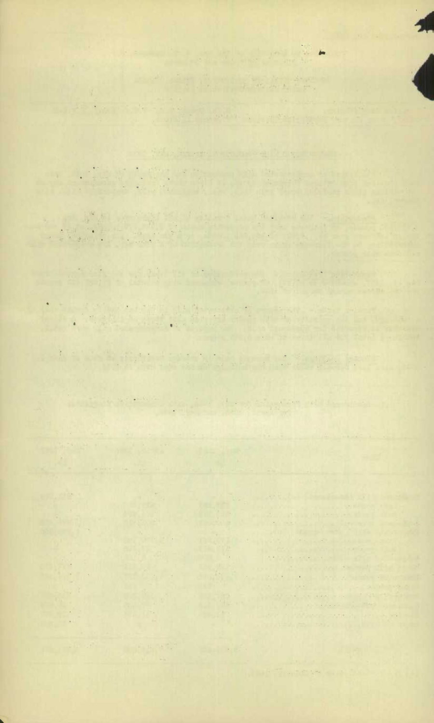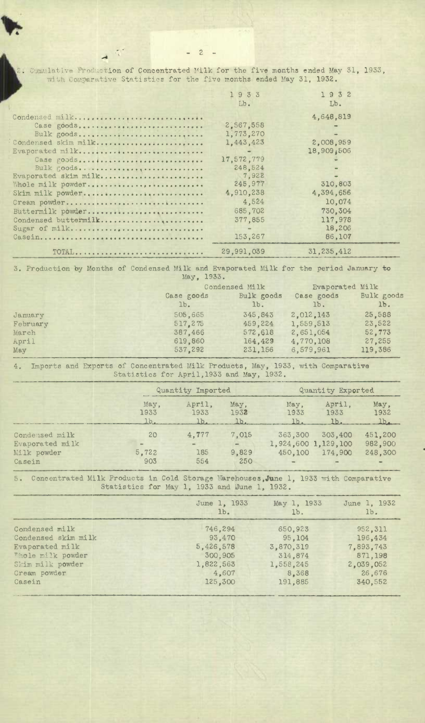2. Cumulative Production of Concentrated Milk for the five months ended May 31, 1933, with Comparative Statistics for the five months ended May 31, 1932.

-2-

 $\blacktriangledown$ 

 $\rightarrow$ 

 $\mathcal{R}^*$ 

|                      | 1933       | 1932         |  |
|----------------------|------------|--------------|--|
|                      | Lb.        | Lb.          |  |
| Condensed milk       |            | 4,648,819    |  |
| Case goods           | 2,567,558  |              |  |
| Bulk goods           | 1,773,270  |              |  |
| Condensed skim milk  | 1,443,423  | 2,008,959    |  |
| Evaporated milk      |            | 18,909,506   |  |
| Case goods           | 17,572,779 |              |  |
| Bulk goods           | 248,524    |              |  |
| Evaporated skim milk | 7,922      |              |  |
| Whole milk powder    | 245,977    | 310,803      |  |
| Skim milk powder     | 4,910,238  | 4,394,656    |  |
| Cream powder         | 4,524      | 10.074       |  |
| Buttermilk powder    | 685,702    | 730.304      |  |
| Condensed buttermilk | 377,855    | 117.978      |  |
| Sugar of milk        |            | 18,206       |  |
|                      | 153,267    | 86,107       |  |
|                      | 29,991,039 | 31, 235, 412 |  |

3. Production by Months of Condensed Milk and Evaporated Milk for the period January to May, 1933.

|          | Condensed Milk |            |            | Evaporated Milk |  |  |
|----------|----------------|------------|------------|-----------------|--|--|
|          | Case goods     | Bulk goods | Case goods | Bulk goods      |  |  |
|          | $1b$ .         | $1b$ .     | $1b$ .     | $1b$ .          |  |  |
| January  | 505,665        | 345,843    | 2.012.143  | 25.588          |  |  |
| February | 517.275        | 459.224    | 1,559,513  | 23,522          |  |  |
| March    | 387,466        | 572,618    | 2,651,054  | 52,773          |  |  |
| April    | 619,860        | 164,429    | 4,770,108  | 27,255          |  |  |
| May      | 537.292        | 231,156    | 6,579,961  | 119,386         |  |  |

Imports and Exports of Concentrated Milk Products, May, 1933, with Comparative Statistics for April,1933 and May, 1932.

|                                                  | Quantity Imported      |                                  |                       | Quantity Exported                                               |                               |  |
|--------------------------------------------------|------------------------|----------------------------------|-----------------------|-----------------------------------------------------------------|-------------------------------|--|
|                                                  | May,<br>1933<br>$1b$ . | April.<br>1933<br>1 <sub>b</sub> | May,<br>1932<br>1b.   | April.<br>May,<br>1933<br>1933<br>$1b$ .<br>$1b -$              | May,<br>1932<br>$1b -$        |  |
| Condensed milk<br>Evaporated milk<br>Milk powder | 20<br>5.722            | 4,777<br>185                     | 7,015<br>$-$<br>9,829 | 303,400<br>363,300<br>1,924,600 1,129,100<br>450,100<br>174,900 | 451,200<br>982,900<br>248,300 |  |
| Casein                                           | 903                    | 554                              | 250                   |                                                                 |                               |  |

**Concentrated Milk Products in Cold Storage 77arehouses,June** 1, 1933 with Comparative Statistics for May 1, 1933 and Dune 1, 1932.

|                     | June 1, 1933<br>lb. | May 1, 1933<br>$1b$ . | June 1, 1932<br>$1b$ . |
|---------------------|---------------------|-----------------------|------------------------|
|                     |                     |                       |                        |
| Condensed milk      | 746.294             | 650,923               | 952.311                |
| Condensed skim milk | 93,470              | 95.104                | 196,434                |
| Evaporated milk     | 5,426,578           | 3,870,319             | 7,893,743              |
| Thole milk powder   | 300,905             | 314.874               | 871,198                |
| Skim milk powder    | 1,822,563           | 1,558,245             | 2,039,052              |
| Cream powder        | 4.607               | 8.368                 | 26,676                 |
| Casein              | 125.300             | 191,885               | 340.552                |